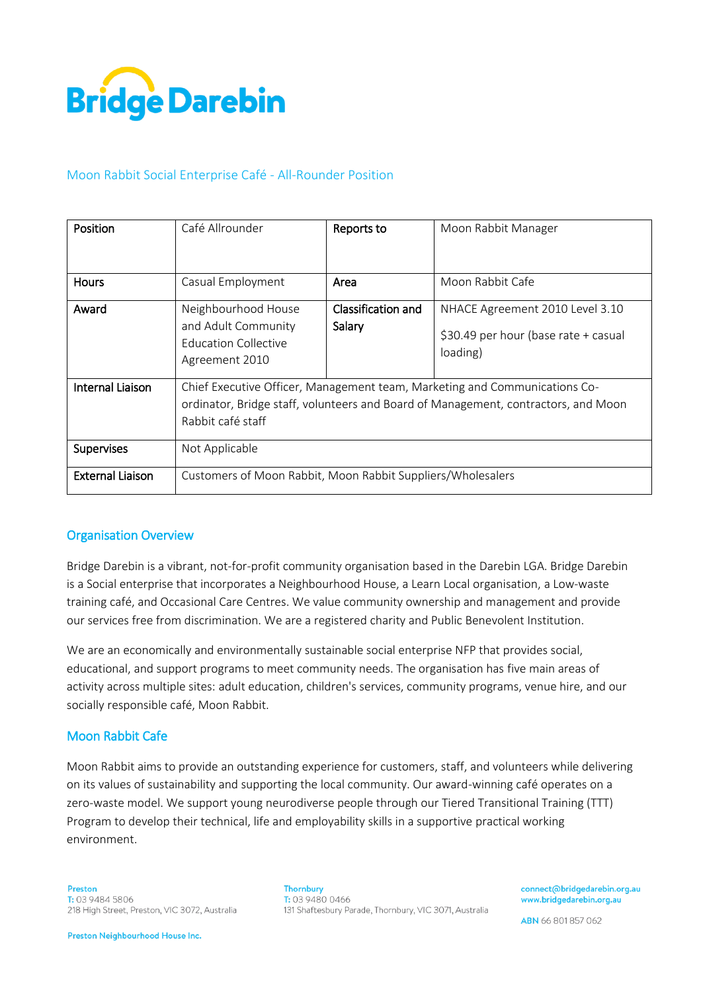

# Moon Rabbit Social Enterprise Café - All-Rounder Position

| Position                | Café Allrounder                                                                                                                                                                       | Reports to                   | Moon Rabbit Manager                                                                 |
|-------------------------|---------------------------------------------------------------------------------------------------------------------------------------------------------------------------------------|------------------------------|-------------------------------------------------------------------------------------|
| <b>Hours</b>            | Casual Employment                                                                                                                                                                     | Area                         | Moon Rabbit Cafe                                                                    |
| Award                   | Neighbourhood House<br>and Adult Community<br><b>Education Collective</b><br>Agreement 2010                                                                                           | Classification and<br>Salary | NHACE Agreement 2010 Level 3.10<br>\$30.49 per hour (base rate + casual<br>loading) |
| Internal Liaison        | Chief Executive Officer, Management team, Marketing and Communications Co-<br>ordinator, Bridge staff, volunteers and Board of Management, contractors, and Moon<br>Rabbit café staff |                              |                                                                                     |
| Supervises              | Not Applicable                                                                                                                                                                        |                              |                                                                                     |
| <b>External Liaison</b> | Customers of Moon Rabbit, Moon Rabbit Suppliers/Wholesalers                                                                                                                           |                              |                                                                                     |

## Organisation Overview

Bridge Darebin is a vibrant, not-for-profit community organisation based in the Darebin LGA. Bridge Darebin is a Social enterprise that incorporates a Neighbourhood House, a Learn Local organisation, a Low-waste training café, and Occasional Care Centres. We value community ownership and management and provide our services free from discrimination. We are a registered charity and Public Benevolent Institution.

We are an economically and environmentally sustainable social enterprise NFP that provides social, educational, and support programs to meet community needs. The organisation has five main areas of activity across multiple sites: adult education, children's services, community programs, venue hire, and our socially responsible café, Moon Rabbit.

## Moon Rabbit Cafe

Moon Rabbit aims to provide an outstanding experience for customers, staff, and volunteers while delivering on its values of sustainability and supporting the local community. Our award-winning café operates on a zero-waste model. We support young neurodiverse people through our Tiered Transitional Training (TTT) Program to develop their technical, life and employability skills in a supportive practical working environment.

**Thornbury** T: 03 9480 0466 131 Shaftesbury Parade, Thornbury, VIC 3071, Australia connect@bridgedarebin.org.au www.bridgedarebin.org.au

ABN 66 801 857 062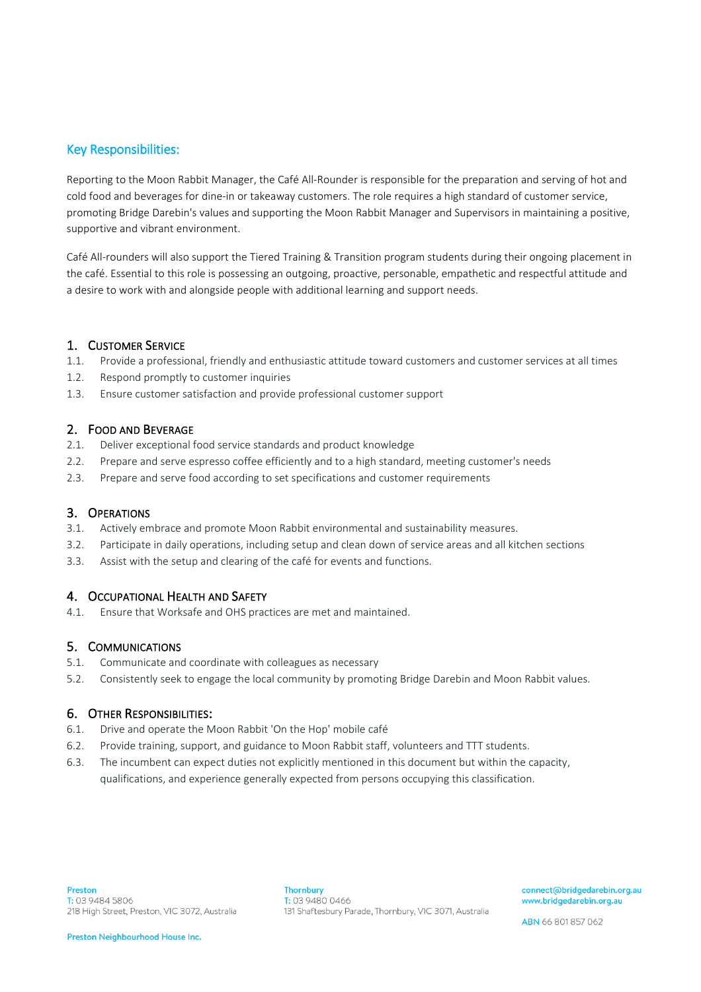## Key Responsibilities:

Reporting to the Moon Rabbit Manager, the Café All-Rounder is responsible for the preparation and serving of hot and cold food and beverages for dine-in or takeaway customers. The role requires a high standard of customer service, promoting Bridge Darebin's values and supporting the Moon Rabbit Manager and Supervisors in maintaining a positive, supportive and vibrant environment.

Café All-rounders will also support the Tiered Training & Transition program students during their ongoing placement in the café. Essential to this role is possessing an outgoing, proactive, personable, empathetic and respectful attitude and a desire to work with and alongside people with additional learning and support needs.

## 1. CUSTOMER SERVICE

- 1.1. Provide a professional, friendly and enthusiastic attitude toward customers and customer services at all times
- 1.2. Respond promptly to customer inquiries
- 1.3. Ensure customer satisfaction and provide professional customer support

## 2. FOOD AND BEVERAGE

- 2.1. Deliver exceptional food service standards and product knowledge
- 2.2. Prepare and serve espresso coffee efficiently and to a high standard, meeting customer's needs
- 2.3. Prepare and serve food according to set specifications and customer requirements

## 3. OPERATIONS

- 3.1. Actively embrace and promote Moon Rabbit environmental and sustainability measures.
- 3.2. Participate in daily operations, including setup and clean down of service areas and all kitchen sections
- 3.3. Assist with the setup and clearing of the café for events and functions.

## 4. OCCUPATIONAL HEALTH AND SAFETY

4.1. Ensure that Worksafe and OHS practices are met and maintained.

## 5. COMMUNICATIONS

- 5.1. Communicate and coordinate with colleagues as necessary
- 5.2. Consistently seek to engage the local community by promoting Bridge Darebin and Moon Rabbit values.

## 6. OTHER RESPONSIBILITIES:

- 6.1. Drive and operate the Moon Rabbit 'On the Hop' mobile café
- 6.2. Provide training, support, and guidance to Moon Rabbit staff, volunteers and TTT students.
- 6.3. The incumbent can expect duties not explicitly mentioned in this document but within the capacity, qualifications, and experience generally expected from persons occupying this classification.

ABN 66 801 857 062